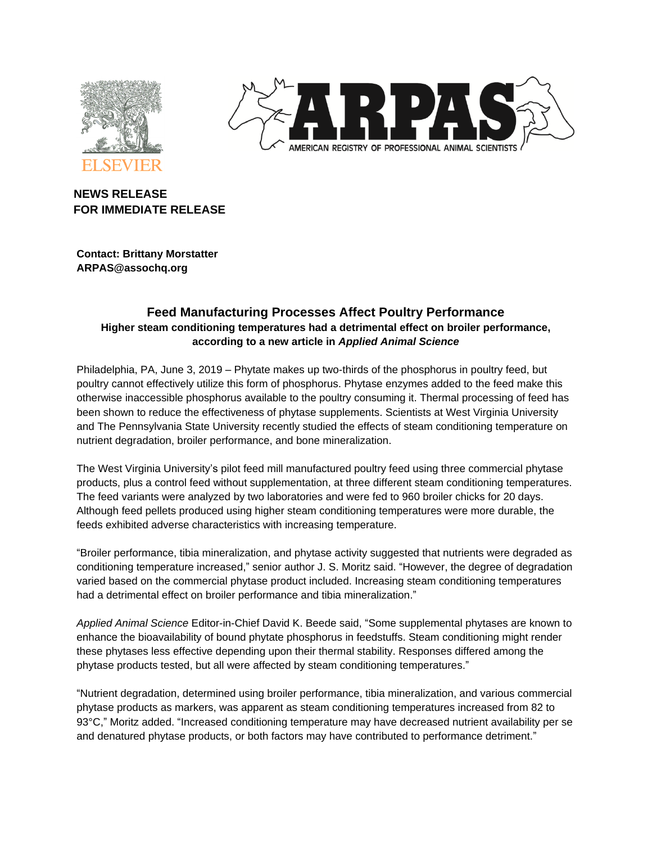



# **NEWS RELEASE FOR IMMEDIATE RELEASE**

**Contact: Brittany Morstatter ARPAS@assochq.org**

## **Feed Manufacturing Processes Affect Poultry Performance Higher steam conditioning temperatures had a detrimental effect on broiler performance, according to a new article in** *Applied Animal Science*

Philadelphia, PA, June 3, 2019 – Phytate makes up two-thirds of the phosphorus in poultry feed, but poultry cannot effectively utilize this form of phosphorus. Phytase enzymes added to the feed make this otherwise inaccessible phosphorus available to the poultry consuming it. Thermal processing of feed has been shown to reduce the effectiveness of phytase supplements. Scientists at West Virginia University and The Pennsylvania State University recently studied the effects of steam conditioning temperature on nutrient degradation, broiler performance, and bone mineralization.

The West Virginia University's pilot feed mill manufactured poultry feed using three commercial phytase products, plus a control feed without supplementation, at three different steam conditioning temperatures. The feed variants were analyzed by two laboratories and were fed to 960 broiler chicks for 20 days. Although feed pellets produced using higher steam conditioning temperatures were more durable, the feeds exhibited adverse characteristics with increasing temperature.

"Broiler performance, tibia mineralization, and phytase activity suggested that nutrients were degraded as conditioning temperature increased," senior author J. S. Moritz said. "However, the degree of degradation varied based on the commercial phytase product included. Increasing steam conditioning temperatures had a detrimental effect on broiler performance and tibia mineralization."

*Applied Animal Science* Editor-in-Chief David K. Beede said, "Some supplemental phytases are known to enhance the bioavailability of bound phytate phosphorus in feedstuffs. Steam conditioning might render these phytases less effective depending upon their thermal stability. Responses differed among the phytase products tested, but all were affected by steam conditioning temperatures."

"Nutrient degradation, determined using broiler performance, tibia mineralization, and various commercial phytase products as markers, was apparent as steam conditioning temperatures increased from 82 to 93°C," Moritz added. "Increased conditioning temperature may have decreased nutrient availability per se and denatured phytase products, or both factors may have contributed to performance detriment."